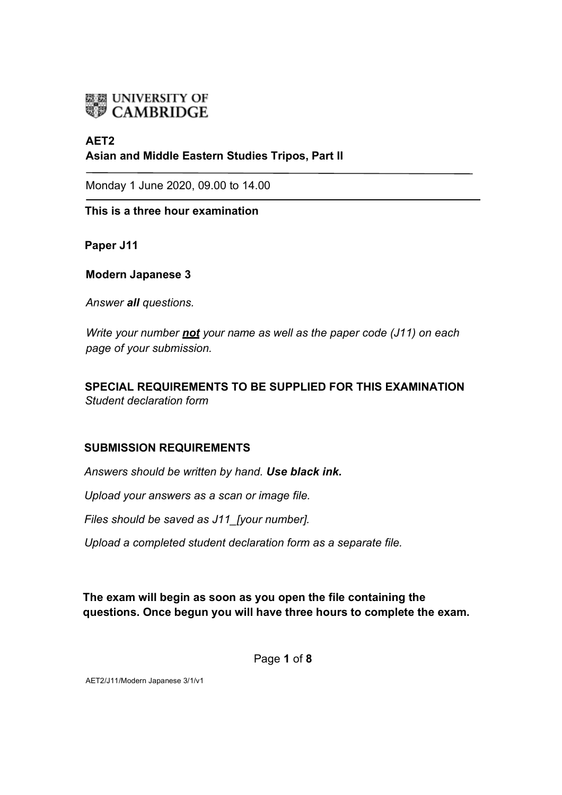

# **AET2 Asian and Middle Eastern Studies Tripos, Part II**

Monday 1 June 2020, 09.00 to 14.00

**This is a three hour examination**

**Paper J11**

**Modern Japanese 3**

*Answer all questions.* 

*Write your number not your name as well as the paper code (J11) on each page of your submission.* 

**SPECIAL REQUIREMENTS TO BE SUPPLIED FOR THIS EXAMINATION** *Student declaration form*

### **SUBMISSION REQUIREMENTS**

*Answers should be written by hand. Use black ink.*

*Upload your answers as a scan or image file.*

*Files should be saved as J11\_[your number].*

*Upload a completed student declaration form as a separate file.*

**The exam will begin as soon as you open the file containing the questions. Once begun you will have three hours to complete the exam.**

Page **1** of **8** 

AET2/J11/Modern Japanese 3/1/v1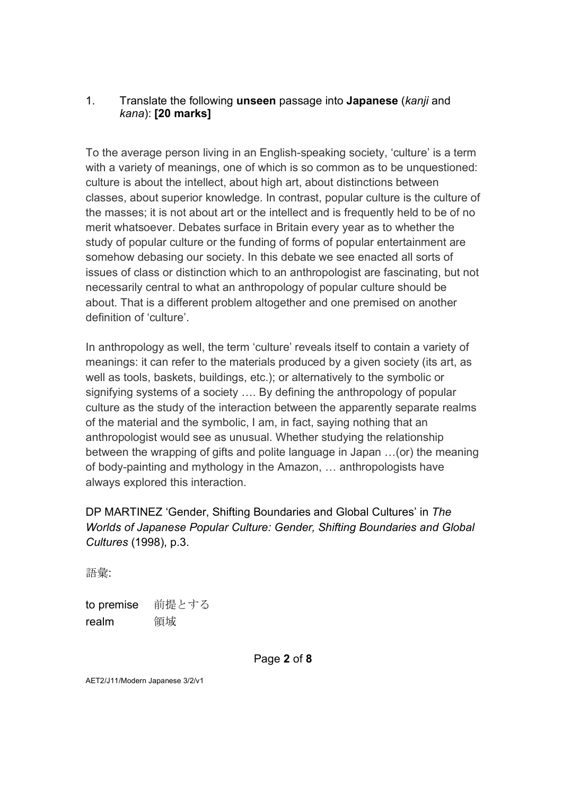## 1. Translate the following **unseen** passage into **Japanese** (*kanji* and *kana*): **[20 marks]**

To the average person living in an English-speaking society, 'culture' is a term with a variety of meanings, one of which is so common as to be unquestioned: culture is about the intellect, about high art, about distinctions between classes, about superior knowledge. In contrast, popular culture is the culture of the masses; it is not about art or the intellect and is frequently held to be of no merit whatsoever. Debates surface in Britain every year as to whether the study of popular culture or the funding of forms of popular entertainment are somehow debasing our society. In this debate we see enacted all sorts of issues of class or distinction which to an anthropologist are fascinating, but not necessarily central to what an anthropology of popular culture should be about. That is a different problem altogether and one premised on another definition of 'culture'.

In anthropology as well, the term 'culture' reveals itself to contain a variety of meanings: it can refer to the materials produced by a given society (its art, as well as tools, baskets, buildings, etc.); or alternatively to the symbolic or signifying systems of a society …. By defining the anthropology of popular culture as the study of the interaction between the apparently separate realms of the material and the symbolic, I am, in fact, saying nothing that an anthropologist would see as unusual. Whether studying the relationship between the wrapping of gifts and polite language in Japan …(or) the meaning of body-painting and mythology in the Amazon, … anthropologists have always explored this interaction.

# DP MARTINEZ 'Gender, Shifting Boundaries and Global Cultures' in *The Worlds of Japanese Popular Culture: Gender, Shifting Boundaries and Global Cultures* (1998), p.3.

語彙:

to premise 前提とする realm 領域

Page **2** of **8**

AET2/J11/Modern Japanese 3/2/v1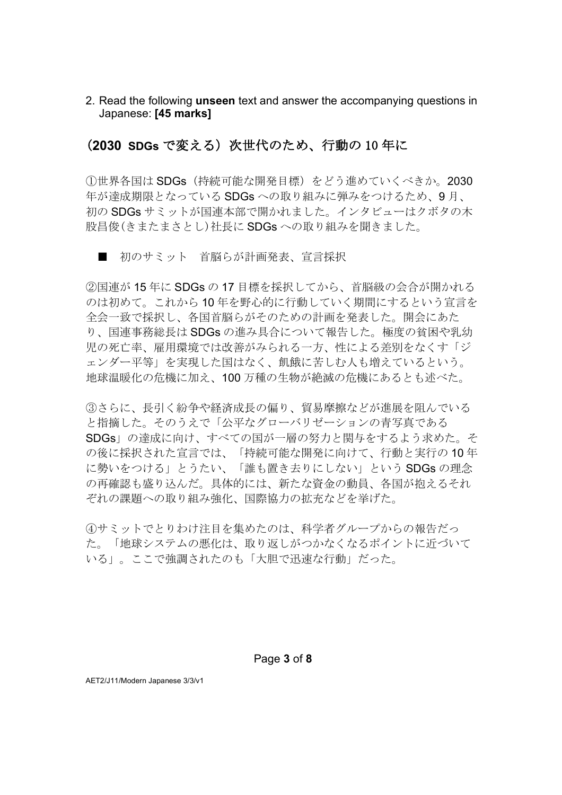2. Read the following **unseen** text and answer the accompanying questions in Japanese: **[45 marks]**

## (**2030 SDGs** で変える)次世代のため、行動の 10 年に

①世界各国は SDGs(持続可能な開発目標)をどう進めていくべきか。2030 年が達成期限となっている SDGs への取り組みに弾みをつけるため、9 月、 初の SDGs サミットが国連本部で開かれました。インタビューはクボタの木 股昌俊(きまたまさとし)社長に SDGs への取り組みを聞きました。

■ 初のサミット 首脳らが計画発表、宣言採択

②国連が 15 年に SDGs の 17 目標を採択してから、首脳級の会合が開かれる のは初めて。これから 10 年を野心的に行動していく期間にするという宣言を 全会一致で採択し、各国首脳らがそのための計画を発表した。開会にあた り、国連事務総長は SDGs の進み具合について報告した。極度の貧困や乳幼 児の死亡率、雇用環境では改善がみられる一方、性による差別をなくす「ジ ェンダー平等」を実現した国はなく、飢餓に苦しむ人も増えているという。 地球温暖化の危機に加え、100 万種の生物が絶滅の危機にあるとも述べた。

③さらに、長引く紛争や経済成長の偏り、貿易摩擦などが進展を阻んでいる と指摘した。そのうえで「公平なグローバリゼーションの青写真である SDGs」の達成に向け、すべての国が一層の努力と関与をするよう求めた。そ の後に採択された宣言では、「持続可能な開発に向けて、行動と実行の 10 年 に勢いをつける」とうたい、「誰も置き去りにしない」という SDGs の理念 の再確認も盛り込んだ。具体的には、新たな資金の動員、各国が抱えるそれ ぞれの課題への取り組み強化、国際協力の拡充などを挙げた。

④サミットでとりわけ注目を集めたのは、科学者グループからの報告だっ た。「地球システムの悪化は、取り返しがつかなくなるポイントに近づいて いる」。ここで強調されたのも「大胆で迅速な行動」だった。

Page **3** of **8**

AET2/J11/Modern Japanese 3/3/v1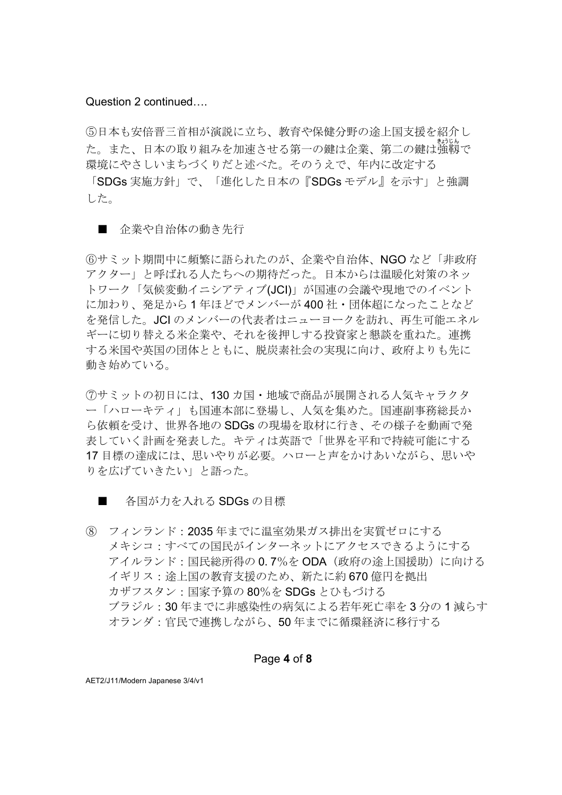⑤日本も安倍晋三首相が演説に立ち、教育や保健分野の途上国支援を紹介し た。また、日本の取り組みを加速させる第一の鍵は企業、第二の鍵は強靱で きょう じん 環境にやさしいまちづくりだと述べた。そのうえで、年内に改定する

「SDGs 実施方針」で、「進化した日本の『SDGs モデル』を示す」と強調 した。

#### ■ 企業や自治体の動き先行

⑥サミット期間中に頻繁に語られたのが、企業や自治体、NGO など「非政府 アクター」と呼ばれる人たちへの期待だった。日本からは温暖化対策のネッ トワーク「気候変動イニシアティブ(JCI)」が国連の会議や現地でのイベント に加わり、発足から 1 年ほどでメンバーが 400 社・団体超になったことなど を発信した。JCI のメンバーの代表者はニューヨークを訪れ、再生可能エネル ギーに切り替える米企業や、それを後押しする投資家と懇談を重ねた。連携 する米国や英国の団体とともに、脱炭素社会の実現に向け、政府よりも先に 動き始めている。

⑦サミットの初日には、130 カ国・地域で商品が展開される人気キャラクタ ー「ハローキティ」も国連本部に登場し、人気を集めた。国連副事務総長か ら依頼を受け、世界各地の SDGs の現場を取材に行き、その様子を動画で発 表していく計画を発表した。キティは英語で「世界を平和で持続可能にする 17 目標の達成には、思いやりが必要。ハローと声をかけあいながら、思いや りを広げていきたい」と語った。

- 各国が力を入れる SDGs の目標
- ⑧ フィンランド:2035 年までに温室効果ガス排出を実質ゼロにする メキシコ:すべての国民がインターネットにアクセスできるようにする アイルランド:国民総所得の 0.7%を ODA(政府の途上国援助)に向ける イギリス:涂上国の教育支援のため、新たに約 670 億円を拠出 カザフスタン:国家予算の 80%を SDGs とひもづける ブラジル:30 年までに非感染性の病気による若年死亡率を 3 分の 1 減らす オランダ:官民で連携しながら、50 年までに循環経済に移行する

#### Page **4** of **8**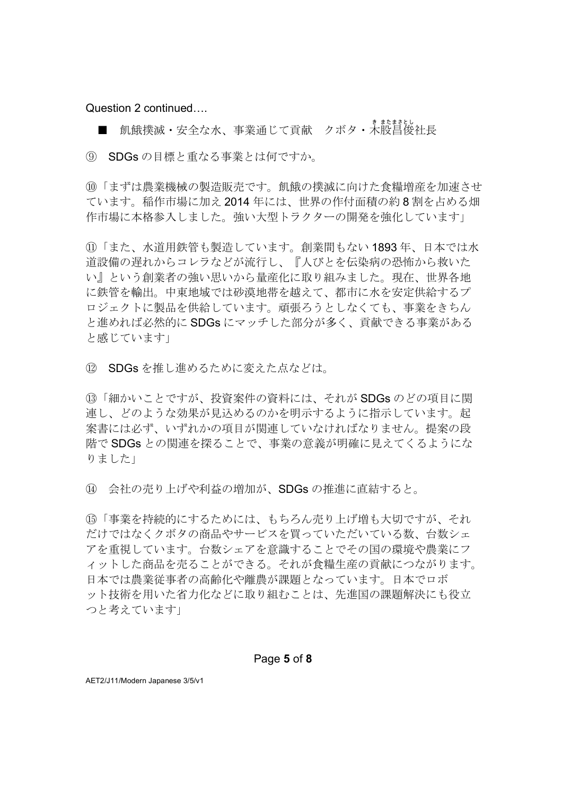■ 飢餓撲滅・安全な水、事業通じて貢献 クボタ・木股昌俊社長

⑨ SDGs の目標と重なる事業とは何ですか。

⑩「まずは農業機械の製㐀販売です。飢餓の撲滅に向けた食糧増産を加㏿させ ています。稲作市場に加え 2014 年には、世界の作付面積の約 8 割を占める畑 作市場に本格参入しました。強い大型トラクターの開発を強化しています」

⑪「また、水道用鉄管も製㐀しています。創業間もない 1893 年、日本では水 道設備の遅れからコレラなどが流行し、『人びとを伝染病の恐怖から救いた い』という創業者の強い思いから量産化に取り組みました。現在、世界各地 に鉄管を輸出。中東地域では砂漠地帯を越えて、都市に水を安定供給するプ ロジェクトに製品を供給しています。頑張ろうとしなくても、事業をきちん と進めれば必然的に SDGs にマッチした部分が多く、貢献できる事業がある と感じています」

⑫ SDGs を推し進めるために変えた点などは。

⑬「細かいことですが、投資案件の資料には、それが SDGs のどの項目に関 連し、どのような効果が見込めるのかを明示するように指示しています。起 案書には必ず、いずれかの項目が関連していなければなりません。提案の段 階で SDGs との関連を探ることで、事業の意義が明確に見えてくるようにな りました」

⑭ 会社の売り上げや利益の増加が、SDGs の推進に直結すると。

⑮「事業を持続的にするためには、もちろん売り上げ増も大切ですが、それ だけではなくクボタの商品やサービスを買っていただいている数、台数シェ アを重視しています。台数シェアを意識することでその国の環境や農業にフ ィットした商品を売ることができる。それが食糧生産の貢献につながります。 日本では農業従事者の高齢化や離農が課題となっています。日本でロボ ット技術を用いた省力化などに取り組むことは、先進国の課題解決にも役立 つと考えています」

#### Page **5** of **8**

AET2/J11/Modern Japanese 3/5/v1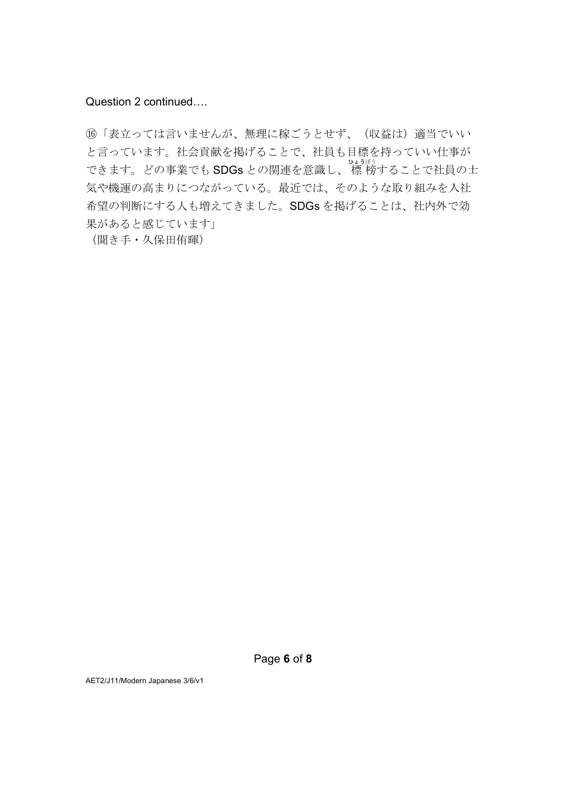(6)「表立っては言いませんが、無理に稼ごうとせず、(収益は)適当でいい と言っています。社会貢献を掲げることで、社員も目標を持っていい仕事が できます。どの事業でも SDGs との関連を意識し、 標 ひょう 榜 ぼう することで社員の士 気や機運の高まりにつながっている。最近では、そのような取り組みを入社 希望の判断にする人も増えてきました。SDGs を掲げることは、社内外で効 果があると感じています」

(聞き手・久保田侑暉)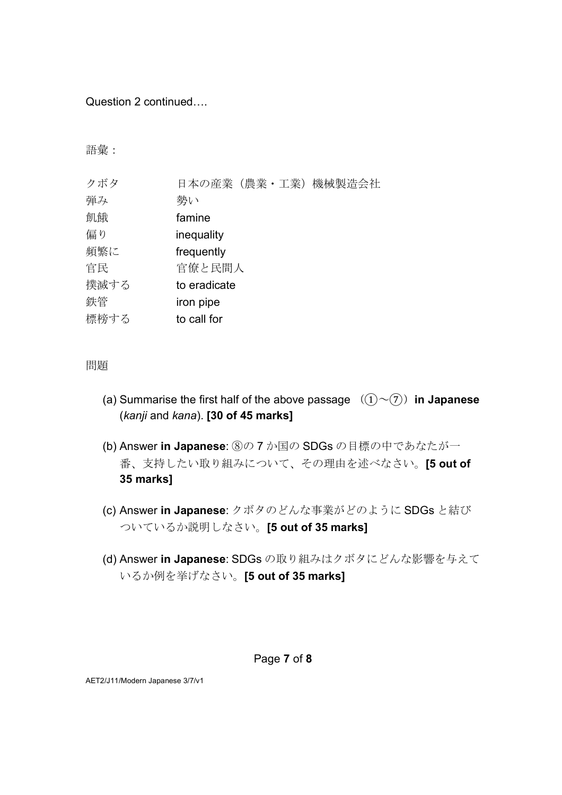語彙:

| クボタ  | 日本の産業(農業・工業)機械製造会社 |
|------|--------------------|
| 弾み   | 勢い                 |
| 飢餓   | famine             |
| 偏り   | inequality         |
| 頻繁に  | frequently         |
| 官民   | 官僚と民間人             |
| 撲滅する | to eradicate       |
| 鉄管   | iron pipe          |
| 標榜する | to call for        |

問題

- (a) Summarise the first half of the above passage  $((1) \sim (7))$  in Japanese (*kanji* and *kana*). **[30 of 45 marks]**
- (b) Answer **in Japanese**: ⑧の 7 か国の SDGs の目標の中であなたが一 番、支持したい取り組みについて、その理由を述べなさい。**[5 out of 35 marks]**
- (c) Answer **in Japanese**: クボタのどんな事業がどのように SDGs と結び ついているか説明しなさい。**[5 out of 35 marks]**
- (d) Answer **in Japanese**: SDGs の取り組みはクボタにどんな影響を与えて いるか例を挙げなさい。**[5 out of 35 marks]**

### Page **7** of **8**

AET2/J11/Modern Japanese 3/7/v1